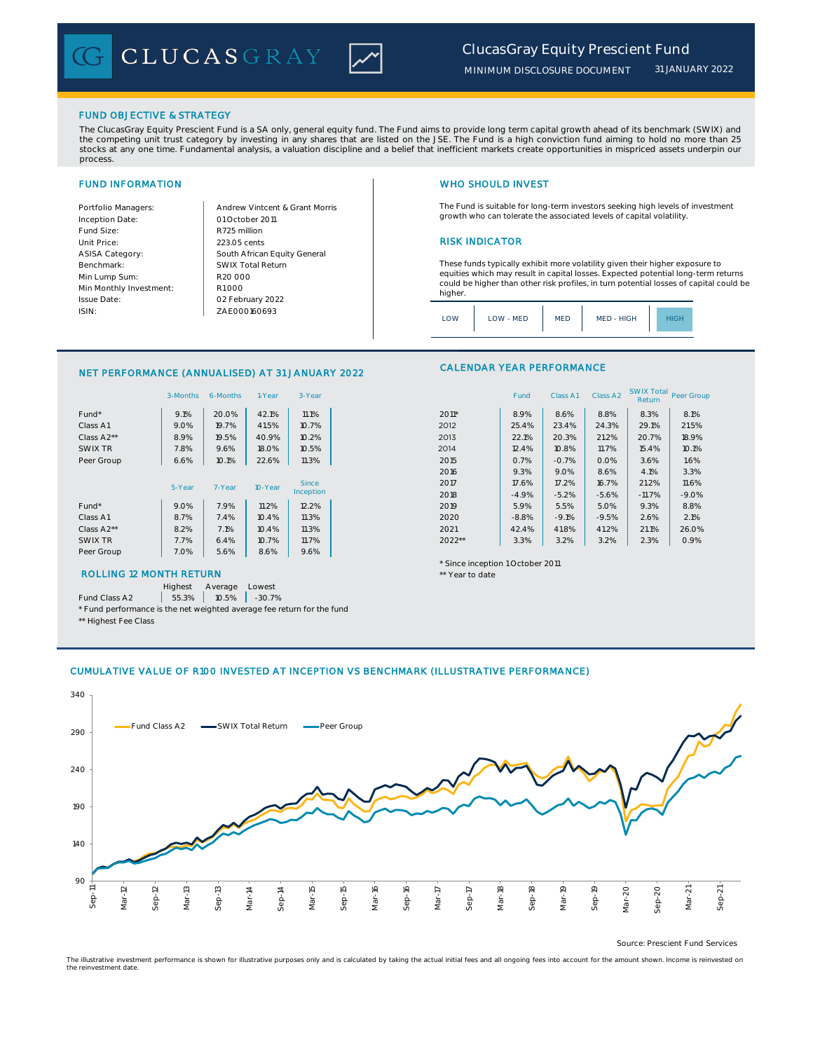

*31 JANUARY 2022*

## FUND OBJECTIVE & STRATEGY

The ClucasGray Equity Prescient Fund is a SA only, general equity fund. The Fund aims to provide long term capital growth ahead of its benchmark (SWIX) and the competing unit trust category by investing in any shares that are listed on the JSE. The Fund is a high conviction fund aiming to hold no more than 25 stocks at any one time. Fundamental analysis, a valuation discipline and a belief that inefficient markets create opportunities in mispriced assets underpin our process.

Inception Date: Fund Size:<br>
Unit Price: 223.05 cents ASISA Category: Benchmark: Min Lump Sum: Min Monthly Investment: Issue Date: ISIN:

Portfolio Managers: <br>Andrew Vintcent & Grant Morris South African Equity General 223.05 cents R1 000 01 October 2011 02 February 2022 R20 000 SWIX Total Return ZAE000160693

# FUND INFORMATION WHO SHOULD INVEST

The Fund is suitable for long-term investors seeking high levels of investment growth who can tolerate the associated levels of capital volatility.

### **RISK INDICATOR**

These funds typically exhibit more volatility given their higher exposure to equities which may result in capital losses. Expected potential long-term returns could be higher than other risk profiles, in turn potential losses of capital could be higher.

| $\bigcap M$ | LOW - MED | <b>MED</b> | MED - HIGH |  |
|-------------|-----------|------------|------------|--|
|             |           |            |            |  |

# NET PERFORMANCE (ANNUALISED) AT 31 JANUARY 2022

|            | 3-Months | 6-Months | 1-Year  | 3-Year       |                                    | Fund    | Class A1 | Class A2 | SWIX Total | Peer Gro |
|------------|----------|----------|---------|--------------|------------------------------------|---------|----------|----------|------------|----------|
|            |          |          |         |              |                                    |         |          |          | Return     |          |
| Fund*      | 9.1%     | 20.0%    | 42.1%   | 11.1%        | 2011*                              | 8.9%    | 8.6%     | 8.8%     | 8.3%       | 8.1%     |
| Class A1   | 9.0%     | 19.7%    | 41.5%   | 10.7%        | 2012                               | 25.4%   | 23.4%    | 24.3%    | 29.1%      | 21.59    |
| Class A2** | 8.9%     | 19.5%    | 40.9%   | 10.2%        | 2013                               | 22.1%   | 20.3%    | 21.2%    | 20.7%      | 18.99    |
| SWIX TR    | 7.8%     | 9.6%     | 18.0%   | 10.5%        | 2014                               | 12.4%   | 10.8%    | 11.7%    | 15.4%      | 10.1%    |
| Peer Group | 6.6%     | 10.1%    | 22.6%   | 11.3%        | 2015                               | 0.7%    | $-0.7%$  | 0.0%     | 3.6%       | 1.6%     |
|            |          |          |         |              | 2016                               | 9.3%    | 9.0%     | 8.6%     | 4.1%       | 3.3%     |
|            | 5-Year   | 7-Year   | 10-Year | <b>Since</b> | 2017                               | 17.6%   | 17.2%    | 16.7%    | 21.2%      | 11.6%    |
|            |          |          |         | Inception    | 2018                               | $-4.9%$ | $-5.2%$  | $-5.6%$  | $-11.7%$   | $-9.09$  |
| Fund*      | 9.0%     | 7.9%     | 11.2%   | 12.2%        | 2019                               | 5.9%    | 5.5%     | 5.0%     | 9.3%       | 8.8%     |
| Class A1   | 8.7%     | 7.4%     | 10.4%   | 11.3%        | 2020                               | $-8.8%$ | $-9.1%$  | $-9.5%$  | 2.6%       | 2.1%     |
| Class A2** | 8.2%     | 7.1%     | 10.4%   | 11.3%        | 2021                               | 42.4%   | 41.8%    | 41.2%    | 21.1%      | 26.09    |
| SWIX TR    | 7.7%     | 6.4%     | 10.7%   | 11.7%        | $2022**$                           | 3.3%    | 3.2%     | 3.2%     | 2.3%       | 0.9%     |
| Peer Group | 7.0%     | 5.6%     | 8.6%    | 9.6%         |                                    |         |          |          |            |          |
|            |          |          |         |              | $*$ Cinco incontion 1 October 2011 |         |          |          |            |          |

## ROLLING 12 MONTH RETURN THE SECOND AND THE SECOND AND THE SECOND AND THE SECOND AND THE SECOND ASSESSMENT OF THE SECOND AND THE SECOND ASSESSMENT OF THE SECOND AND THE SECOND ASSESSMENT OF THE SECOND ASSESSMENT OF THE SECO

Highest Average Lowest

Fund Class A2 | 55.3% | 10.5% | -30.7%

\* Fund performance is the net weighted average fee return for the fund

| ** Highest Fee Class |  |  |
|----------------------|--|--|
|----------------------|--|--|

### CALENDAR YEAR PERFORMANCE

|                         | 3-Months | 6-Months | 1-Year  | 3-Year    |        | Fund    | Class A1 | Class A2 | <b>SWIX Total</b><br>Return | Peer Group |
|-------------------------|----------|----------|---------|-----------|--------|---------|----------|----------|-----------------------------|------------|
| Fund*                   | 9.1%     | 20.0%    | 42.1%   | 11.1%     | 2011*  | 8.9%    | 8.6%     | 8.8%     | 8.3%                        | 8.1%       |
| Class A1                | 9.0%     | 19.7%    | 41.5%   | 10.7%     | 2012   | 25.4%   | 23.4%    | 24.3%    | 29.1%                       | 21.5%      |
| Class A <sub>2</sub> ** | 8.9%     | 19.5%    | 40.9%   | 10.2%     | 2013   | 22.1%   | 20.3%    | 21.2%    | 20.7%                       | 18.9%      |
| SWIX TR                 | 7.8%     | 9.6%     | 18.0%   | 10.5%     | 2014   | 12.4%   | 10.8%    | 11.7%    | 15.4%                       | 10.1%      |
| Peer Group              | 6.6%     | 10.1%    | 22.6%   | 11.3%     | 2015   | 0.7%    | $-0.7%$  | 0.0%     | 3.6%                        | 1.6%       |
|                         |          |          |         |           | 2016   | 9.3%    | 9.0%     | 8.6%     | 4.1%                        | 3.3%       |
|                         | 5-Year   | 7-Year   | 10-Year | Since     | 2017   | 17.6%   | 17.2%    | 16.7%    | 21.2%                       | 11.6%      |
|                         |          |          |         | Inception | 2018   | $-4.9%$ | $-5.2%$  | $-5.6%$  | $-11.7%$                    | $-9.0%$    |
| Fund*                   | 9.0%     | 7.9%     | 11.2%   | 12.2%     | 2019   | 5.9%    | 5.5%     | 5.0%     | 9.3%                        | 8.8%       |
| Class A1                | 8.7%     | 7.4%     | 10.4%   | 11.3%     | 2020   | $-8.8%$ | $-9.1%$  | $-9.5%$  | 2.6%                        | 2.1%       |
| Class A2**              | 8.2%     | 7.1%     | 10.4%   | 11.3%     | 2021   | 42.4%   | 41.8%    | 41.2%    | 21.1%                       | 26.0%      |
| SWIX TR                 | 7.7%     | 6.4%     | 10.7%   | 11.7%     | 2022** | 3.3%    | 3.2%     | 3.2%     | 2.3%                        | 0.9%       |

### \* Since inception 1 October 2011

# CUMULATIVE VALUE OF R100 INVESTED AT INCEPTION VS BENCHMARK (ILLUSTRATIVE PERFORMANCE)



Source: Prescient Fund Services

The illustrative investment performance is shown for illustrative purposes only and is calculated by taking the actual initial fees and all ongoing fees into account for the amount shown. Income is reinvested on the reinvestment date.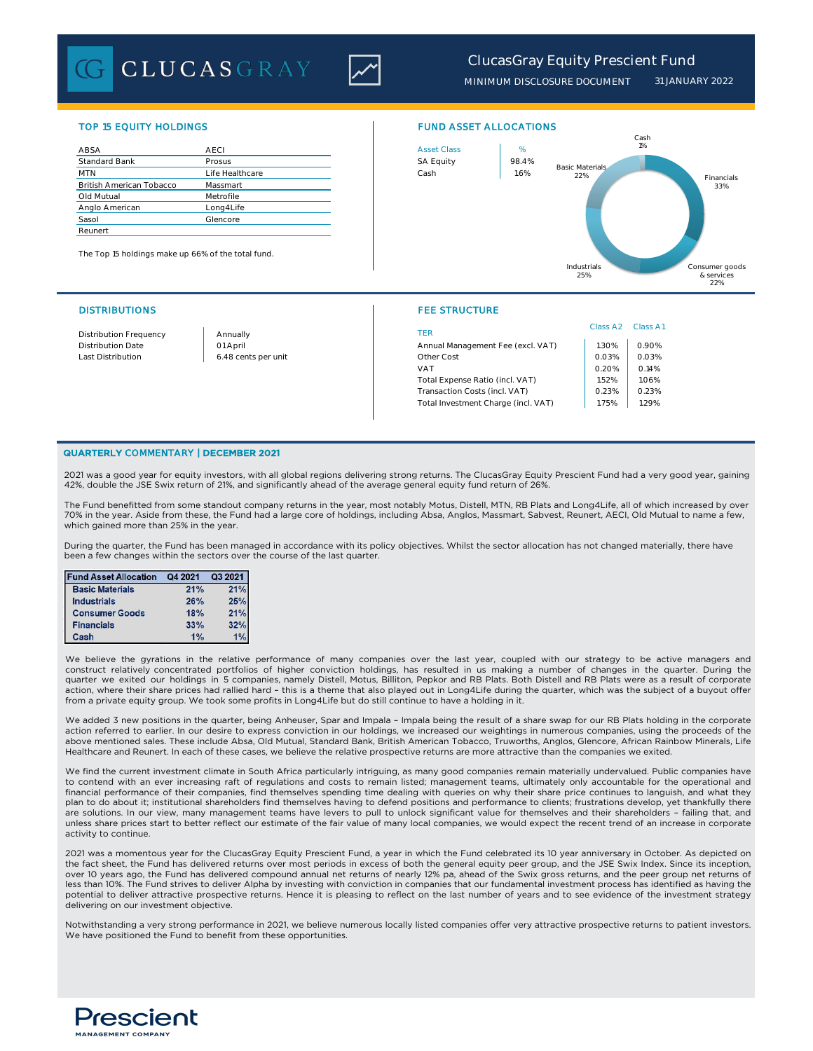**CLUCASGRAY** 



# *ClucasGray Equity Prescient Fund*

*MINIMUM DISCLOSURE DOCUMENT 31 JANUARY 2022*

| ABSA                            | <b>AECI</b>     | <b>Asset Class</b> | %     |
|---------------------------------|-----------------|--------------------|-------|
| <b>Standard Bank</b>            | Prosus          | <b>SA Equity</b>   | 98.4% |
| <b>MTN</b>                      | Life Healthcare | Cash               | 1.6%  |
| <b>British American Tobacco</b> | Massmart        |                    |       |
| Old Mutual                      | Metrofile       |                    |       |
| Anglo American                  | Long4Life       |                    |       |
| Sasol                           | Glencore        |                    |       |
| Reunert                         |                 |                    |       |

The Top 15 holdings make up 66% of the total fund.

### DISTRIBUTIONS FEE STRUCTURE

### TOP 15 EQUITY HOLDINGS FUND ASSET ALLOCATIONS



| Distribution Frequency | Annually            | TER                                 | Class A <sub>2</sub> | Class A1                |
|------------------------|---------------------|-------------------------------------|----------------------|-------------------------|
| Distribution Date      | 01 April            | Annual Management Fee (excl. VAT)   | .30%                 | 0.90%                   |
| Last Distribution      | 6.48 cents per unit | Other Cost                          | 0.03%                | 0.03%                   |
|                        |                     | VAT                                 | 0.20%                | 0.14%<br>1.52%<br>1.06% |
|                        |                     | Total Expense Ratio (incl. VAT)     |                      |                         |
|                        |                     | Transaction Costs (incl. VAT)       | 0.23%                | 0.23%                   |
|                        |                     | Total Investment Charge (incl. VAT) | 1.75%                | 1.29%                   |
|                        |                     |                                     |                      |                         |

### QUARTERLY COMMENTARY | DECEMBER 2021

2021 was a good year for equity investors, with all global regions delivering strong returns. The ClucasGray Equity Prescient Fund had a very good year, gaining 42%, double the JSE Swix return of 21%, and significantly ahead of the average general equity fund return of 26%.

The Fund benefitted from some standout company returns in the year, most notably Motus, Distell, MTN, RB Plats and Long4Life, all of which increased by over 70% in the year. Aside from these, the Fund had a large core of holdings, including Absa, Anglos, Massmart, Sabvest, Reunert, AECI, Old Mutual to name a few, which gained more than 25% in the year.

During the quarter, the Fund has been managed in accordance with its policy objectives. Whilst the sector allocation has not changed materially, there have been a few changes within the sectors over the course of the last quarter.

| <b>Fund Asset Allocation</b> | Q4 2021 | Q3 2021 |
|------------------------------|---------|---------|
| <b>Basic Materials</b>       | 21%     | 21%     |
| <b>Industrials</b>           | 26%     | 25%     |
| <b>Consumer Goods</b>        | 18%     | 21%     |
| <b>Financials</b>            | 33%     | 32%     |
| Cash                         | 1%      | 1%      |

We believe the gyrations in the relative performance of many companies over the last year, coupled with our strategy to be active managers and<br>construct relatively concentrated portfolios of higher conviction holdings, has quarter we exited our holdings in 5 companies, namely Distell, Motus, Billiton, Pepkor and RB Plats. Both Distell and RB Plats were as a result of corporate action, where their share prices had rallied hard – this is a theme that also played out in Long4Life during the quarter, which was the subject of a buyout offer from a private equity group. We took some profits in Long4Life but do still continue to have a holding in it.

We added 3 new positions in the quarter, being Anheuser, Spar and Impala – Impala being the result of a share swap for our RB Plats holding in the corporate action referred to earlier. In our desire to express conviction in our holdings, we increased our weightings in numerous companies, using the proceeds of the above mentioned sales. These include Absa, Old Mutual, Standard Bank, British American Tobacco, Truworths, Anglos, Glencore, African Rainbow Minerals, Life Healthcare and Reunert. In each of these cases, we believe the relative prospective returns are more attractive than the companies we exited.

We find the current investment climate in South Africa particularly intriguing, as many good companies remain materially undervalued. Public companies have to contend with an ever increasing raft of regulations and costs to remain listed; management teams, ultimately only accountable for the operational and financial performance of their companies, find themselves spending time dealing with queries on why their share price continues to languish, and what they plan to do about it; institutional shareholders find themselves having to defend positions and performance to clients; frustrations develop, yet thankfully there are solutions. In our view, many management teams have levers to pull to unlock significant value for themselves and their shareholders - failing that, and unless share prices start to better reflect our estimate of the fair value of many local companies, we would expect the recent trend of an increase in corporate activity to continue.

2021 was a momentous year for the ClucasGray Equity Prescient Fund, a year in which the Fund celebrated its 10 year anniversary in October. As depicted on the fact sheet, the Fund has delivered returns over most periods in excess of both the general equity peer group, and the JSE Swix Index. Since its inception, over 10 years ago, the Fund has delivered compound annual net returns of nearly 12% pa, ahead of the Swix gross returns, and the peer group net returns of less than 10%. The Fund strives to deliver Alpha by investing with conviction in companies that our fundamental investment process has identified as having the potential to deliver attractive prospective returns. Hence it is pleasing to reflect on the last number of years and to see evidence of the investment strategy delivering on our investment objective.

Notwithstanding a very strong performance in 2021, we believe numerous locally listed companies offer very attractive prospective returns to patient investors. We have positioned the Fund to benefit from these opportunities.